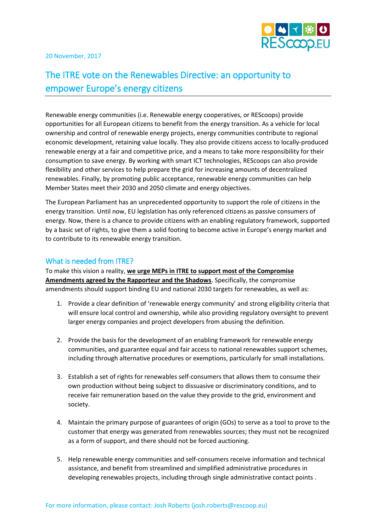

20 November, 2017

## The ITRE vote on the Renewables Directive: an opportunity to empower Europe's energy citizens

Renewable energy communities (i.e. Renewable energy cooperatives, or REScoops) provide opportunities for all European citizens to benefit from the energy transition. As a vehicle for local ownership and control of renewable energy projects, energy communities contribute to regional economic development, retaining value locally. They also provide citizens access to locally-produced renewable energy at a fair and competitive price, and a means to take more responsibility for their consumption to save energy. By working with smart ICT technologies, REScoops can also provide flexibility and other services to help prepare the grid for increasing amounts of decentralized renewables. Finally, by promoting public acceptance, renewable energy communities can help Member States meet their 2030 and 2050 climate and energy objectives.

The European Parliament has an unprecedented opportunity to support the role of citizens in the energy transition. Until now, EU legislation has only referenced citizens as passive consumers of energy. Now, there is a chance to provide citizens with an enabling regulatory framework, supported by a basic set of rights, to give them a solid footing to become active in Europe's energy market and to contribute to its renewable energy transition.

## What is needed from ITRE?

To make this vision a reality, **we urge MEPs in ITRE to support most of the Compromise Amendments agreed by the Rapporteur and the Shadows**. Specifically, the compromise amendments should support binding EU and national 2030 targets for renewables, as well as:

- 1. Provide a clear definition of 'renewable energy community' and strong eligibility criteria that will ensure local control and ownership, while also providing regulatory oversight to prevent larger energy companies and project developers from abusing the definition.
- 2. Provide the basis for the development of an enabling framework for renewable energy communities, and guarantee equal and fair access to national renewables support schemes, including through alternative procedures or exemptions, particularly for small installations.
- 3. Establish a set of rights for renewables self-consumers that allows them to consume their own production without being subject to dissuasive or discriminatory conditions, and to receive fair remuneration based on the value they provide to the grid, environment and society.
- 4. Maintain the primary purpose of guarantees of origin (GOs) to serve as a tool to prove to the customer that energy was generated from renewables sources; they must not be recognized as a form of support, and there should not be forced auctioning.
- 5. Help renewable energy communities and self-consumers receive information and technical assistance, and benefit from streamlined and simplified administrative procedures in developing renewables projects, including through single administrative contact points .